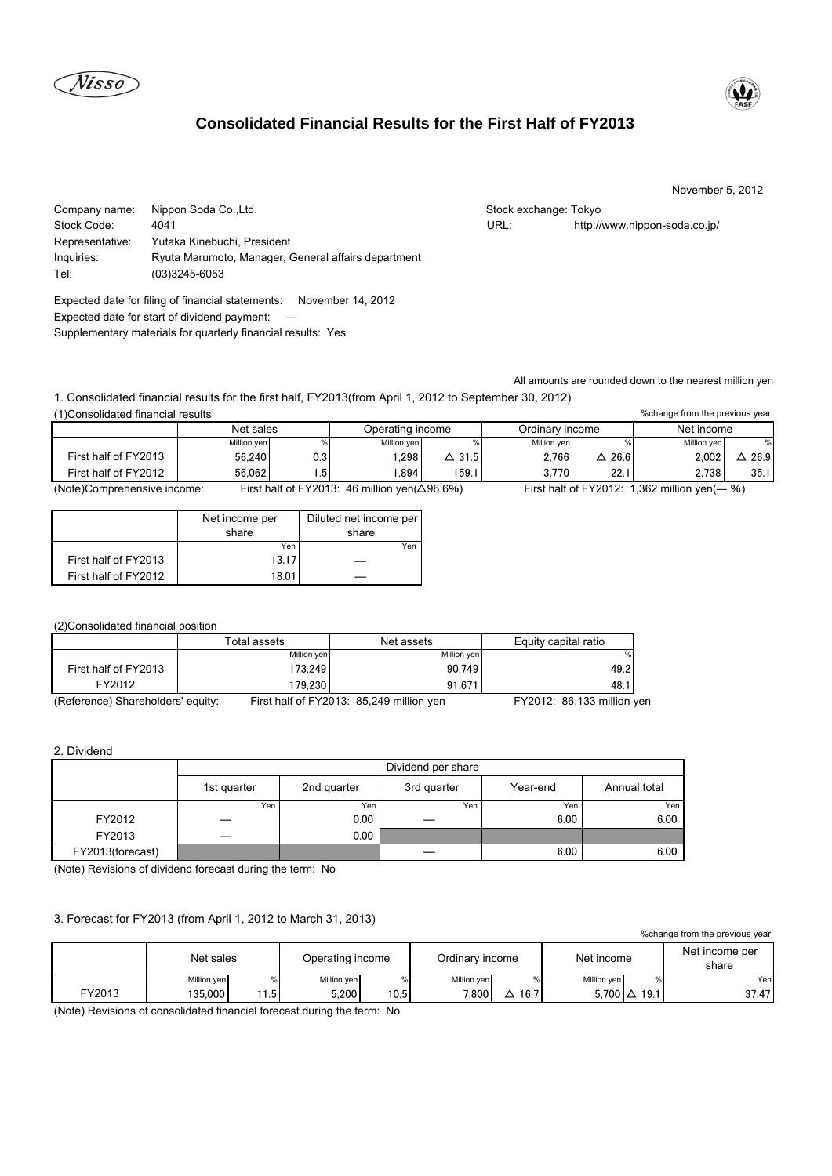





#### November 5, 2012

%change from the previous year

Company name: Nippon Soda Co.,Ltd. Stock exchange: Tokyo Stock exchange: Tokyo Stock Code: 4041 URL: http://www.nippon-soda.co.jp/ Representative: Yutaka Kinebuchi, President Inquiries: Ryuta Marumoto, Manager, General affairs department Tel: (03)3245-6053

Expected date for filing of financial statements: November 14, 2012 Expected date for start of dividend payment: ― Supplementary materials for quarterly financial results: Yes

All amounts are rounded down to the nearest million yen

1. Consolidated financial results for the first half, FY2013(from April 1, 2012 to September 30, 2012) (1)Consolidated financial results

|                                                       | Net sales   |     | Operating income                |               | Ordinary income |                        | Net income                   |      |
|-------------------------------------------------------|-------------|-----|---------------------------------|---------------|-----------------|------------------------|------------------------------|------|
|                                                       | Million yen |     | Million yen                     |               | Million yen     |                        | Million ven                  |      |
| First half of FY2013                                  | 56,240      | 0.3 | .298                            | $\Delta$ 31.5 | 2.766           | 26.6                   | 2.002                        | 26.9 |
| First half of FY2012                                  | 56.062      | .5  | .894                            | 159.          | 3.770           | 22.1                   | 2.738                        | 35.1 |
| First half of $FY2013$<br>(Note)Comprehensive income: |             |     | 46 million ven $(\wedge$ 96 6%) |               |                 | First half of $FY2012$ | $362$ million ven $($ $-$ %) |      |

(Note)Comprehensive income: First half of FY2013: 46 million yen(△96.6%) First half of FY2012: 1,362 million yen(― %)

|                      | Diluted net income per<br>Net income per |       |
|----------------------|------------------------------------------|-------|
|                      | share                                    | share |
|                      | Yen                                      | Yen   |
| First half of FY2013 | 13.17                                    |       |
| First half of FY2012 | 18.01                                    |       |

# (2)Consolidated financial position

|                                  | Total assets | Net assets                                 | Equity capital ratio       |  |
|----------------------------------|--------------|--------------------------------------------|----------------------------|--|
|                                  | Million yen  | Million yen                                |                            |  |
| First half of FY2013             | 173.249      | 90.749                                     | 49.2                       |  |
| FY2012                           | 179.230      | 91.671                                     | 48.                        |  |
| (Beference) Charabolders' equity |              | $First half of EV2013. 95.240 million you$ | $EVO019.02422$ million $W$ |  |

(Reference) Shareholders' equity: First half of FY2013: 85,249 million yen FY2012: 86,133 million yen

### 2. Dividend

|                  | Dividend per share |             |             |          |              |  |  |
|------------------|--------------------|-------------|-------------|----------|--------------|--|--|
|                  | 1st quarter        | 2nd quarter | 3rd quarter | Year-end | Annual total |  |  |
|                  | Yen                | Yen         | Yen         | Yen      | Yen          |  |  |
| FY2012           |                    | 0.00        |             | 6.00     | 6.00         |  |  |
| FY2013           | _                  | 0.00        |             |          |              |  |  |
| FY2013(forecast) |                    |             |             | 6.00     | 6.00         |  |  |

(Note) Revisions of dividend forecast during the term: No

## 3. Forecast for FY2013 (from April 1, 2012 to March 31, 2013)

| % change from the previous year |             |      |                  |      |                 |      |             |                     |                         |
|---------------------------------|-------------|------|------------------|------|-----------------|------|-------------|---------------------|-------------------------|
|                                 | Net sales   |      | Operating income |      | Ordinary income |      | Net income  |                     | Net income per<br>share |
|                                 | Million yen |      | Million yen      |      | Million yen     |      | Million yen |                     | Yenl                    |
| FY2013                          | 135.000     | 11.5 | 5.200            | 10.5 | 1,800           | 16.7 |             | $5.700 \Delta 19.1$ | 37.47                   |

(Note) Revisions of consolidated financial forecast during the term: No